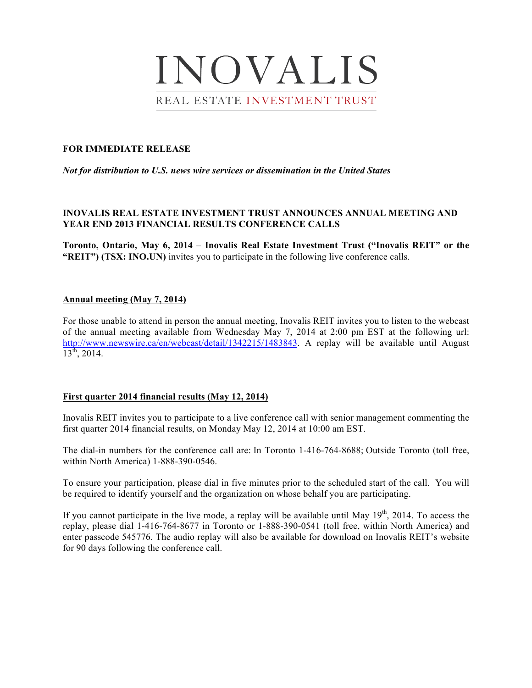# INOVALIS REAL ESTATE INVESTMENT TRUST

### **FOR IMMEDIATE RELEASE**

*Not for distribution to U.S. news wire services or dissemination in the United States*

## **INOVALIS REAL ESTATE INVESTMENT TRUST ANNOUNCES ANNUAL MEETING AND YEAR END 2013 FINANCIAL RESULTS CONFERENCE CALLS**

**Toronto, Ontario, May 6, 2014** – **Inovalis Real Estate Investment Trust ("Inovalis REIT" or the "REIT") (TSX: INO.UN)** invites you to participate in the following live conference calls.

### **Annual meeting (May 7, 2014)**

For those unable to attend in person the annual meeting, Inovalis REIT invites you to listen to the webcast of the annual meeting available from Wednesday May 7, 2014 at 2:00 pm EST at the following url: http://www.newswire.ca/en/webcast/detail/1342215/1483843. A replay will be available until August  $13^{th}$ , 2014.

### **First quarter 2014 financial results (May 12, 2014)**

Inovalis REIT invites you to participate to a live conference call with senior management commenting the first quarter 2014 financial results, on Monday May 12, 2014 at 10:00 am EST.

The dial-in numbers for the conference call are: In Toronto 1-416-764-8688; Outside Toronto (toll free, within North America) 1-888-390-0546.

To ensure your participation, please dial in five minutes prior to the scheduled start of the call. You will be required to identify yourself and the organization on whose behalf you are participating.

If you cannot participate in the live mode, a replay will be available until May  $19<sup>th</sup>$ , 2014. To access the replay, please dial 1-416-764-8677 in Toronto or 1-888-390-0541 (toll free, within North America) and enter passcode 545776. The audio replay will also be available for download on Inovalis REIT's website for 90 days following the conference call.